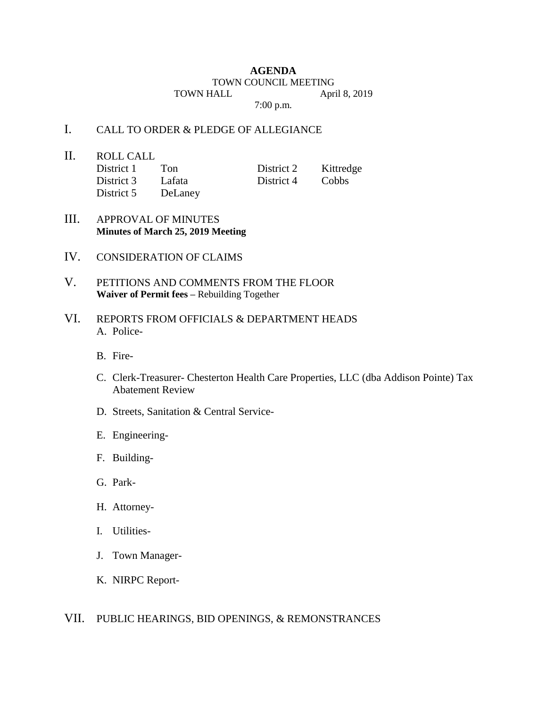## **AGENDA** TOWN COUNCIL MEETING TOWN HALL April 8, 2019 7:00 p.m.

## I. CALL TO ORDER & PLEDGE OF ALLEGIANCE

II. ROLL CALL

| District 1 | Ton     | District 2 | Kittredge    |
|------------|---------|------------|--------------|
| District 3 | Lafata  | District 4 | <b>Cobbs</b> |
| District 5 | DeLaney |            |              |

- III. APPROVAL OF MINUTES **Minutes of March 25, 2019 Meeting**
- IV. CONSIDERATION OF CLAIMS
- V. PETITIONS AND COMMENTS FROM THE FLOOR **Waiver of Permit fees –** Rebuilding Together
- VI. REPORTS FROM OFFICIALS & DEPARTMENT HEADS A. Police-
	- B. Fire-
	- C. Clerk-Treasurer- Chesterton Health Care Properties, LLC (dba Addison Pointe) Tax Abatement Review
	- D. Streets, Sanitation & Central Service-
	- E. Engineering-
	- F. Building-
	- G. Park-
	- H. Attorney-
	- I. Utilities-
	- J. Town Manager-
	- K. NIRPC Report-

## VII. PUBLIC HEARINGS, BID OPENINGS, & REMONSTRANCES